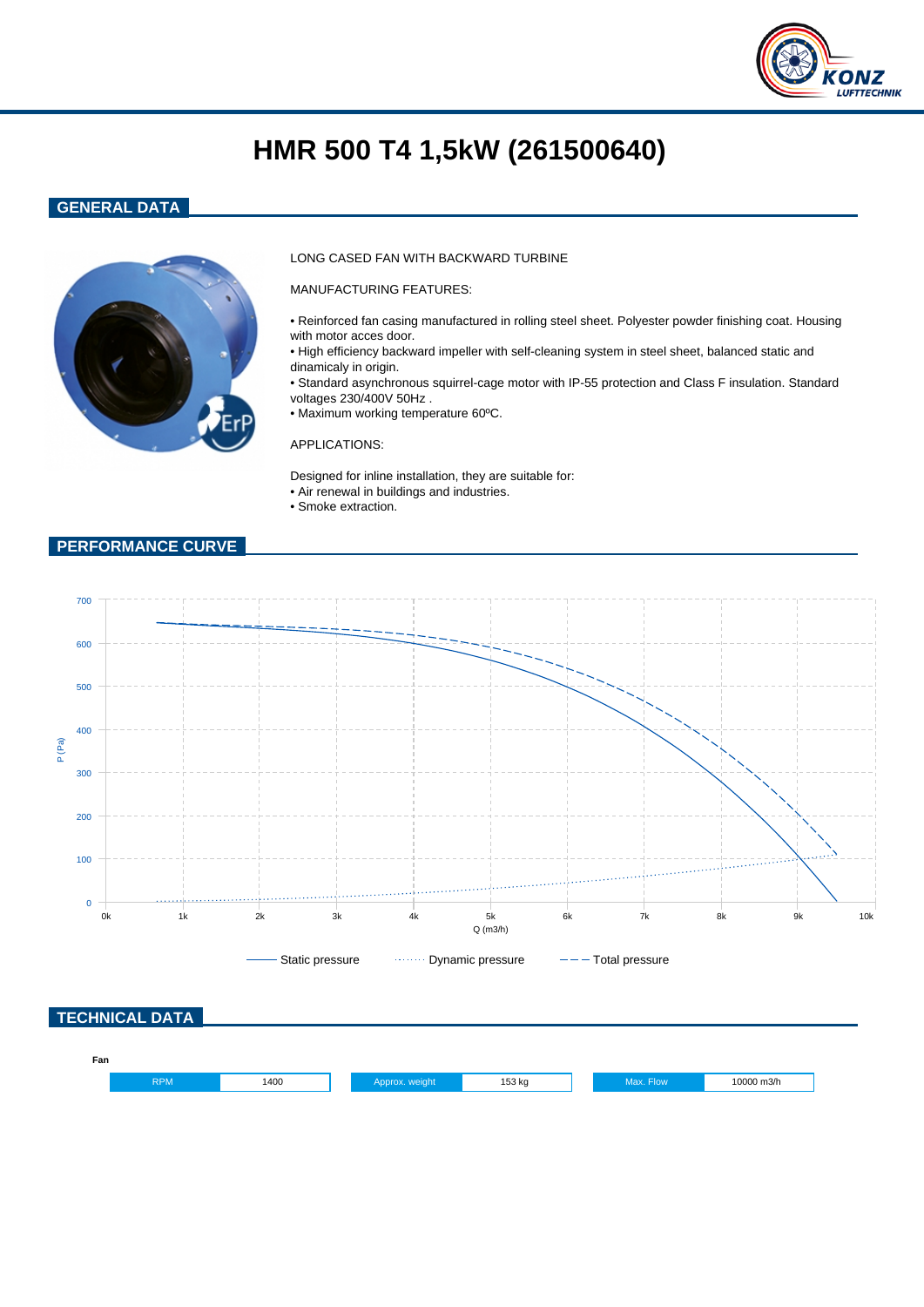

# **HMR 500 T4 1,5kW (261500640)**

## **GENERAL DATA**



## LONG CASED FAN WITH BACKWARD TURBINE

MANUFACTURING FEATURES:

- Reinforced fan casing manufactured in rolling steel sheet. Polyester powder finishing coat. Housing with motor acces door.
- High efficiency backward impeller with self-cleaning system in steel sheet, balanced static and dinamicaly in origin.
- Standard asynchronous squirrel-cage motor with IP-55 protection and Class F insulation. Standard voltages 230/400V 50Hz .
- Maximum working temperature 60ºC.

#### APPLICATIONS:

Designed for inline installation, they are suitable for: • Air renewal in buildings and industries.

• Smoke extraction.

## **PERFORMANCE CURVE**



| Fan |            |      |  |        |      |            |  |
|-----|------------|------|--|--------|------|------------|--|
|     | <b>RPM</b> | 1400 |  | 153 kg | Flow | 10000 m3/h |  |